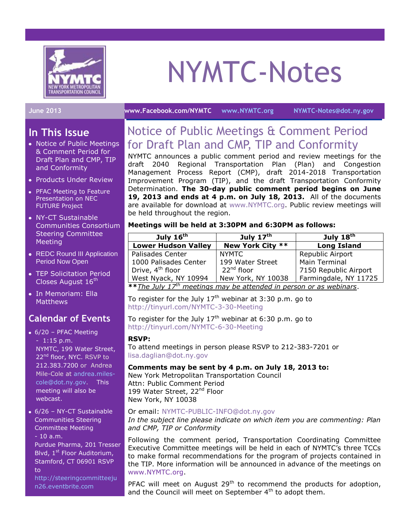

# NYMTC-Notes

#### **June 2013 [www.Facebook.com/NYMTC](http://www.facebook.com/NYMTC) [www.NYMTC.org](http://www.nymtc.org/) [NYMTC-Notes@dot.ny.gov](mailto:NYMTC-Notes@dot.ny.gov)**

# **In This Issue**

- Notice of Public Meetings & Comment Period for Draft Plan and CMP, TIP and Conformity
- Products Under Review
- PFAC Meeting to Feature Presentation on NEC FUTURE Project
- NY-CT Sustainable Communities Consortium Steering Committee **Meeting**
- REDC Round III Application Period Now Open
- TEP Solicitation Period Closes August 16<sup>th</sup>
- In Memoriam: Ella **Matthews**

# **Calendar of Events**

- 6/20 PFAC Meeting - 1:15 p.m. NYMTC, 199 Water Street, 22<sup>nd</sup> floor, NYC. RSVP to 212.383.7200 or Andrea Mile-Cole at [andrea.miles](mailto:andrea.miles-cole@dot.ny.gov)[cole@dot.ny.gov.](mailto:andrea.miles-cole@dot.ny.gov) This meeting will also be webcast.
- 6/26 NY-CT Sustainable Communities Steering Committee Meeting - 10 a.m. Purdue Pharma, 201 Tresser Blvd, 1<sup>st</sup> Floor Auditorium, Stamford, CT 06901 RSVP
	- to [http://steeringcommitteeju](http://steeringcommitteejun26.eventbrite.com/) [n26.eventbrite.com](http://steeringcommitteejun26.eventbrite.com/)

# Notice of Public Meetings & Comment Period for Draft Plan and CMP, TIP and Conformity

NYMTC announces a public comment period and review meetings for the draft 2040 Regional Transportation Plan (Plan) and Congestion Management Process Report (CMP), draft 2014-2018 Transportation Improvement Program (TIP), and the draft Transportation Conformity Determination. **The 30-day public comment period begins on June 19, 2013 and ends at 4 p.m. on July 18, 2013.** All of the documents are available for download at [www.NYMTC.org.](http://www.nymtc.org/) Public review meetings will be held throughout the region.

## **Meetings will be held at 3:30PM and 6:30PM as follows:**

| July $16th$                                                                             | July $17^{\text{th}}$  | July 18 <sup>th</sup> |
|-----------------------------------------------------------------------------------------|------------------------|-----------------------|
| <b>Lower Hudson Valley</b>                                                              | New York City **       | <b>Long Island</b>    |
| Palisades Center                                                                        | <b>NYMTC</b>           | Republic Airport      |
| 1000 Palisades Center                                                                   | 199 Water Street       | <b>Main Terminal</b>  |
| Drive, 4 <sup>th</sup> floor                                                            | 22 <sup>nd</sup> floor | 7150 Republic Airport |
| West Nyack, NY 10994                                                                    | New York, NY 10038     | Farmingdale, NY 11725 |
| $*$ * $\tau$ he July 17 <sup>th</sup> meetings may be attended in nerson or as webinary |                        |                       |

**\*\****The July 17th meetings may be attended in person or as webinars*.

To register for the July  $17<sup>th</sup>$  webinar at 3:30 p.m. go to <http://tinyurl.com/NYMTC-3-30-Meeting>

To register for the July  $17<sup>th</sup>$  webinar at 6:30 p.m. go to <http://tinyurl.com/NYMTC-6-30-Meeting>

## **RSVP:**

To attend meetings in person please RSVP to 212-383-7201 or [lisa.daglian@dot.ny.gov](mailto:lisa.daglian@dot.ny.gov)

## **Comments may be sent by 4 p.m. on July 18, 2013 to:**

New York Metropolitan Transportation Council Attn: Public Comment Period 199 Water Street, 22<sup>nd</sup> Floor New York, NY 10038

## Or email: [NYMTC-PUBLIC-INFO@dot.ny.gov](mailto:NYMTC-PUBLIC-INFO@dot.ny.gov)

## *In the subject line please indicate on which item you are commenting: Plan and CMP, TIP or Conformity*

Following the comment period, Transportation Coordinating Committee Executive Committee meetings will be held in each of NYMTC's three TCCs to make formal recommendations for the program of projects contained in the TIP. More information will be announced in advance of the meetings on [www.NYMTC.org.](http://www.nymtc.org/)

PFAC will meet on August  $29<sup>th</sup>$  to recommend the products for adoption, and the Council will meet on September 4<sup>th</sup> to adopt them.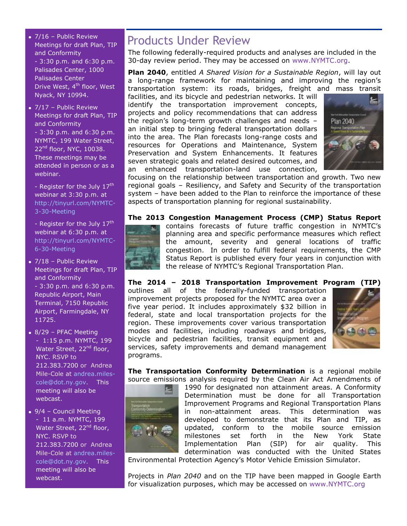- 7/16 Public Review Meetings for draft Plan, TIP and Conformity - 3:30 p.m. and 6:30 p.m. Palisades Center, 1000 Palisades Center Drive West, 4<sup>th</sup> floor, West Nyack, NY 10994.
- $\overline{\bullet}$  7/17 Public Review Meetings for draft Plan, TIP and Conformity - 3:30 p.m. and 6:30 p.m. NYMTC, 199 Water Street, 22nd floor, NYC, 10038. These meetings may be attended in person or as a webinar.

- Register for the July  $17<sup>th</sup>$ webinar at 3:30 p.m. at [http://tinyurl.com/NYMTC-](http://tinyurl.com/NYMTC-3-30-Meeting)[3-30-Meeting](http://tinyurl.com/NYMTC-3-30-Meeting)

- Register for the July  $17<sup>th</sup>$ webinar at 6:30 p.m. at [http://tinyurl.com/NYMTC-](http://tinyurl.com/NYMTC-6-30-Meeting)[6-30-Meeting](http://tinyurl.com/NYMTC-6-30-Meeting)

- 7/18 Public Review Meetings for draft Plan, TIP and Conformity - 3:30 p.m. and 6:30 p.m. Republic Airport, Main Terminal, 7150 Republic Airport, Farmingdale, NY 11725.
- 8/29 PFAC Meeting - 1:15 p.m. NYMTC, 199 Water Street, 22<sup>nd</sup> floor, NYC. RSVP to 212.383.7200 or Andrea Mile-Cole at [andrea.miles](mailto:andrea.miles-cole@dot.ny.gov)[cole@dot.ny.gov.](mailto:andrea.miles-cole@dot.ny.gov) This meeting will also be webcast.
- 9/4 Council Meeting - 11 a.m. NYMTC, 199 Water Street, 22<sup>nd</sup> floor, NYC. RSVP to 212.383.7200 or Andrea Mile-Cole at [andrea.miles](mailto:andrea.miles-cole@dot.ny.gov)[cole@dot.ny.gov.](mailto:andrea.miles-cole@dot.ny.gov) This meeting will also be webcast.

# Products Under Review

The following federally-required products and analyses are included in the 30-day review period. They may be accessed on [www.NYMTC.org.](http://www.nymtc.org/)

**Plan 2040**, entitled *A Shared Vision for a Sustainable Region*, will lay out a long-range framework for maintaining and improving the region's transportation system: its roads, bridges, freight and mass transit

facilities, and its bicycle and pedestrian networks. It will identify the transportation improvement concepts, projects and policy recommendations that can address the region's long-term growth challenges and needs – an initial step to bringing federal transportation dollars into the area. The Plan forecasts long-range costs and resources for Operations and Maintenance, System Preservation and System Enhancements. It features seven strategic goals and related desired outcomes, and an enhanced transportation-land use connection,



focusing on the relationship between transportation and growth. Two new regional goals – Resiliency, and Safety and Security of the transportation system – have been added to the Plan to reinforce the importance of these aspects of transportation planning for regional sustainability.

## **The 2013 Congestion Management Process (CMP) Status Report**



contains forecasts of future traffic congestion in NYMTC's planning area and specific performance measures which reflect the amount, severity and general locations of traffic congestion. In order to fulfill federal requirements, the CMP Status Report is published every four years in conjunction with the release of NYMTC's Regional Transportation Plan.

## **The 2014 – 2018 Transportation Improvement Program (TIP)**

outlines all of the federally-funded transportation improvement projects proposed for the NYMTC area over a five year period. It includes approximately \$32 billion in federal, state and local transportation projects for the region. These improvements cover various transportation modes and facilities, including roadways and bridges, bicycle and pedestrian facilities, transit equipment and services, safety improvements and demand management programs.



**The Transportation Conformity Determination** is a regional mobile source emissions analysis required by the Clean Air Act Amendments of



1990 for designated non attainment areas. A Conformity Determination must be done for all Transportation Improvement Programs and Regional Transportation Plans in non-attainment areas. This determination was developed to demonstrate that its Plan and TIP, as updated, conform to the mobile source emission milestones set forth in the New York State Implementation Plan (SIP) for air quality. This determination was conducted with the United States

Environmental Protection Agency's Motor Vehicle Emission Simulator.

Projects in *Plan 2040* and on the TIP have been mapped in Google Earth for visualization purposes, which may be accessed on [www.NYMTC.org](http://www.nymtc.org/)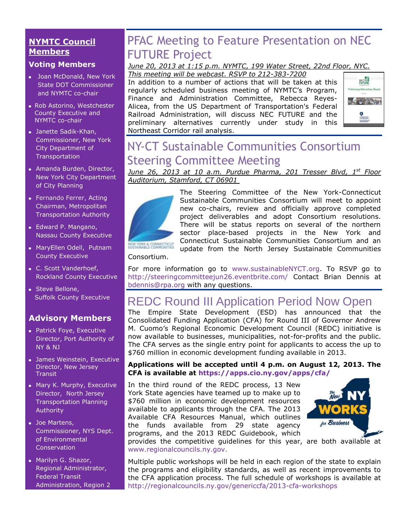# **NYMTC Council Members**

# **Voting Members**

- Joan McDonald, New York State DOT Commissioner and NYMTC co-chair
- Rob Astorino, Westchester County Executive and NYMTC co-chair
- Janette Sadik-Khan, Commissioner, New York City Department of Transportation
- Amanda Burden, Director, New York City Department of City Planning
- [Fernando Ferrer,](http://www.mta.info/mta/leadership/ferrer.htm) Acting Chairman, Metropolitan Transportation Authority
- Edward P. Mangano, Nassau County Executive
- MaryEllen Odell, Putnam County Executive
- C. Scott Vanderhoef, Rockland County Executive
- Steve Bellone, Suffolk County Executive

# **Advisory Members**

- Patrick Foye, Executive Director, Port Authority of NY & NJ
- James Weinstein, Executive Director, New Jersey **Transit**
- Mary K. Murphy, Executive Director, North Jersey Transportation Planning Authority
- Joe Martens, Commissioner, NYS Dept. of Environmental **Conservation**
- Marilyn G. Shazor, Regional Administrator, Federal Transit Administration, Region 2

# PFAC Meeting to Feature Presentation on NEC FUTURE Project

#### *June 20, 2013 at 1:15 p.m. NYMTC, 199 Water Street, 22nd Floor, NYC. This meeting will be webcast. RSVP to 212-383-7200*

In addition to a number of actions that will be taken at this regularly scheduled business meeting of NYMTC's Program, Finance and Administration Committee, Rebecca Reyes-Alicea, from the US Department of Transportation's Federal Railroad Administration, will discuss NEC FUTURE and the preliminary alternatives currently under study in this Northeast Corridor rail analysis.



# NY-CT Sustainable Communities Consortium Steering Committee Meeting

*June 26, 2013 at 10 a.m. Purdue Pharma, 201 Tresser Blvd, 1 st Floor Auditorium, Stamford, CT 06901*



The Steering Committee of the New York-Connecticut Sustainable Communities Consortium will meet to appoint new co-chairs, review and officially approve completed project deliverables and adopt Consortium resolutions. There will be status reports on several of the northern sector place-based projects in the New York and Connecticut Sustainable Communities Consortium and an update from the North Jersey Sustainable Communities

# Consortium.

For more information go to [www.sustainableNYCT.org.](http://www.sustainablenyct.org/) To RSVP go to <http://steeringcommitteejun26.eventbrite.com/> Contact Brian Dennis at [bdennis@rpa.org](mailto:bdennis@rpa.org) with any questions.

# REDC Round III Application Period Now Open

The Empire State Development (ESD) has announced that the Consolidated Funding Application (CFA) for Round III of Governor Andrew M. Cuomo's Regional Economic Development Council (REDC) initiative is now available to businesses, municipalities, not-for-profits and the public. The CFA serves as the single entry point for applicants to access the up to \$760 million in economic development funding available in 2013.

## **Applications will be accepted until 4 p.m. on August 12, 2013. The CFA is available at [https://apps.cio.ny.gov/apps/cfa/](http://regionalcouncils.ny.gov/general/061713/%20https:/apps.cio.ny.gov/apps/cfa/)**

In the third round of the REDC process, 13 New York State agencies have teamed up to make up to \$760 million in economic development resources available to applicants through the CFA. The 2013 Available CFA Resources Manual, which outlines the funds available from 29 state agency programs, and the 2013 REDC Guidebook, which



provides the competitive guidelines for this year, are both available at [www.regionalcouncils.ny.gov.](http://www.regionalcouncils.ny.gov/)

Multiple public workshops will be held in each region of the state to explain the programs and eligibility standards, as well as recent improvements to the CFA application process. The full schedule of workshops is available at <http://regionalcouncils.ny.gov/genericcfa/2013-cfa-workshops>